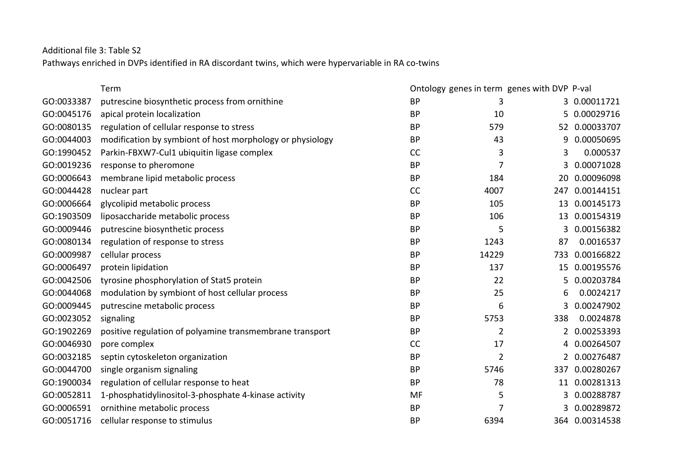Additional file 3: Table S2

Pathways enriched in DVPs identified in RA discordant twins, which were hypervariable in RA co-twins

|            | Term                                                      |           |                | Ontology genes in term genes with DVP P-val |                |
|------------|-----------------------------------------------------------|-----------|----------------|---------------------------------------------|----------------|
| GO:0033387 | putrescine biosynthetic process from ornithine            | <b>BP</b> | 3              |                                             | 3 0.00011721   |
| GO:0045176 | apical protein localization                               | <b>BP</b> | 10             | 5                                           | 0.00029716     |
| GO:0080135 | regulation of cellular response to stress                 | <b>BP</b> | 579            |                                             | 52 0.00033707  |
| GO:0044003 | modification by symbiont of host morphology or physiology | <b>BP</b> | 43             | 9                                           | 0.00050695     |
| GO:1990452 | Parkin-FBXW7-Cul1 ubiquitin ligase complex                | <b>CC</b> | 3              | 3                                           | 0.000537       |
| GO:0019236 | response to pheromone                                     | <b>BP</b> | $\overline{7}$ | 3                                           | 0.00071028     |
| GO:0006643 | membrane lipid metabolic process                          | <b>BP</b> | 184            | 20                                          | 0.00096098     |
| GO:0044428 | nuclear part                                              | <b>CC</b> | 4007           | 247                                         | 0.00144151     |
| GO:0006664 | glycolipid metabolic process                              | <b>BP</b> | 105            | 13                                          | 0.00145173     |
| GO:1903509 | liposaccharide metabolic process                          | <b>BP</b> | 106            | 13                                          | 0.00154319     |
| GO:0009446 | putrescine biosynthetic process                           | <b>BP</b> | 5              | 3                                           | 0.00156382     |
| GO:0080134 | regulation of response to stress                          | <b>BP</b> | 1243           | 87                                          | 0.0016537      |
| GO:0009987 | cellular process                                          | <b>BP</b> | 14229          | 733                                         | 0.00166822     |
| GO:0006497 | protein lipidation                                        | <b>BP</b> | 137            | 15                                          | 0.00195576     |
| GO:0042506 | tyrosine phosphorylation of Stat5 protein                 | <b>BP</b> | 22             | 5.                                          | 0.00203784     |
| GO:0044068 | modulation by symbiont of host cellular process           | <b>BP</b> | 25             | 6                                           | 0.0024217      |
| GO:0009445 | putrescine metabolic process                              | <b>BP</b> | 6              | 3                                           | 0.00247902     |
| GO:0023052 | signaling                                                 | <b>BP</b> | 5753           | 338                                         | 0.0024878      |
| GO:1902269 | positive regulation of polyamine transmembrane transport  | <b>BP</b> | $\overline{2}$ | 2                                           | 0.00253393     |
| GO:0046930 | pore complex                                              | <b>CC</b> | 17             | 4                                           | 0.00264507     |
| GO:0032185 | septin cytoskeleton organization                          | <b>BP</b> | $\overline{2}$ | 2                                           | 0.00276487     |
| GO:0044700 | single organism signaling                                 | <b>BP</b> | 5746           | 337                                         | 0.00280267     |
| GO:1900034 | regulation of cellular response to heat                   | <b>BP</b> | 78             | 11                                          | 0.00281313     |
| GO:0052811 | 1-phosphatidylinositol-3-phosphate 4-kinase activity      | MF        | 5              | 3                                           | 0.00288787     |
| GO:0006591 | ornithine metabolic process                               | <b>BP</b> | 7              | 3                                           | 0.00289872     |
| GO:0051716 | cellular response to stimulus                             | <b>BP</b> | 6394           |                                             | 364 0.00314538 |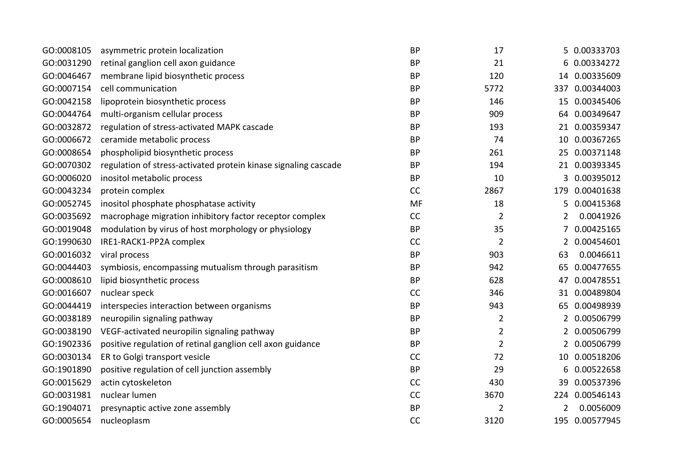| GO:0008105 | asymmetric protein localization                                 | <b>BP</b> | 17             |                | 5 0.00333703   |
|------------|-----------------------------------------------------------------|-----------|----------------|----------------|----------------|
| GO:0031290 | retinal ganglion cell axon guidance                             | <b>BP</b> | 21             | 6              | 0.00334272     |
| GO:0046467 | membrane lipid biosynthetic process                             | <b>BP</b> | 120            |                | 14 0.00335609  |
| GO:0007154 | cell communication                                              | <b>BP</b> | 5772           | 337            | 0.00344003     |
| GO:0042158 | lipoprotein biosynthetic process                                | <b>BP</b> | 146            |                | 15 0.00345406  |
| GO:0044764 | multi-organism cellular process                                 | <b>BP</b> | 909            | 64             | 0.00349647     |
| GO:0032872 | regulation of stress-activated MAPK cascade                     | <b>BP</b> | 193            |                | 21 0.00359347  |
| GO:0006672 | ceramide metabolic process                                      | <b>BP</b> | 74             |                | 10 0.00367265  |
| GO:0008654 | phospholipid biosynthetic process                               | <b>BP</b> | 261            |                | 25 0.00371148  |
| GO:0070302 | regulation of stress-activated protein kinase signaling cascade | <b>BP</b> | 194            |                | 21 0.00393345  |
| GO:0006020 | inositol metabolic process                                      | <b>BP</b> | 10             | 3              | 0.00395012     |
| GO:0043234 | protein complex                                                 | CC        | 2867           | 179            | 0.00401638     |
| GO:0052745 | inositol phosphate phosphatase activity                         | <b>MF</b> | 18             | 5              | 0.00415368     |
| GO:0035692 | macrophage migration inhibitory factor receptor complex         | CC        | $\overline{2}$ | $\overline{2}$ | 0.0041926      |
| GO:0019048 | modulation by virus of host morphology or physiology            | <b>BP</b> | 35             |                | 0.00425165     |
| GO:1990630 | IRE1-RACK1-PP2A complex                                         | CC        | $\overline{2}$ |                | 2 0.00454601   |
| GO:0016032 | viral process                                                   | <b>BP</b> | 903            | 63             | 0.0046611      |
| GO:0044403 | symbiosis, encompassing mutualism through parasitism            | <b>BP</b> | 942            | 65             | 0.00477655     |
| GO:0008610 | lipid biosynthetic process                                      | <b>BP</b> | 628            | 47             | 0.00478551     |
| GO:0016607 | nuclear speck                                                   | CC        | 346            | 31             | 0.00489804     |
| GO:0044419 | interspecies interaction between organisms                      | <b>BP</b> | 943            |                | 65 0.00498939  |
| GO:0038189 | neuropilin signaling pathway                                    | <b>BP</b> | $\overline{2}$ |                | 2 0.00506799   |
| GO:0038190 | VEGF-activated neuropilin signaling pathway                     | <b>BP</b> | $\overline{2}$ | 2              | 0.00506799     |
| GO:1902336 | positive regulation of retinal ganglion cell axon guidance      | <b>BP</b> | $\overline{2}$ |                | 2 0.00506799   |
| GO:0030134 | ER to Golgi transport vesicle                                   | CC        | 72             |                | 10 0.00518206  |
| GO:1901890 | positive regulation of cell junction assembly                   | <b>BP</b> | 29             | 6              | 0.00522658     |
| GO:0015629 | actin cytoskeleton                                              | CC        | 430            | 39             | 0.00537396     |
| GO:0031981 | nuclear lumen                                                   | CC        | 3670           |                | 224 0.00546143 |
| GO:1904071 | presynaptic active zone assembly                                | <b>BP</b> | 2              | $\overline{2}$ | 0.0056009      |
| GO:0005654 | nucleoplasm                                                     | CC        | 3120           |                | 195 0.00577945 |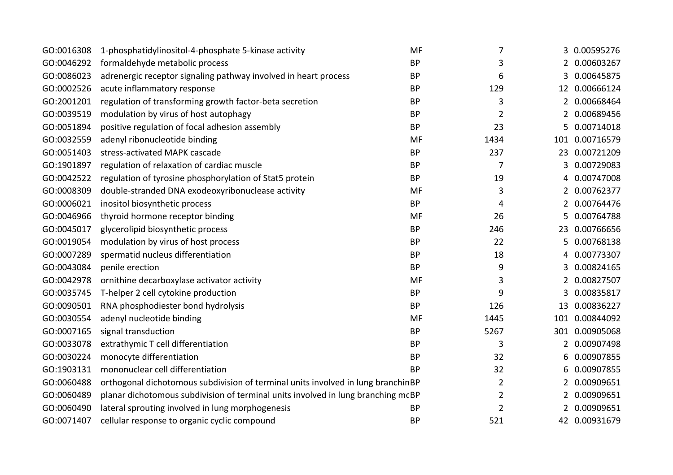| GO:0016308 | 1-phosphatidylinositol-4-phosphate 5-kinase activity                             | MF        | 7              |                | 3 0.00595276   |
|------------|----------------------------------------------------------------------------------|-----------|----------------|----------------|----------------|
| GO:0046292 | formaldehyde metabolic process                                                   | <b>BP</b> | 3              | 2              | 0.00603267     |
| GO:0086023 | adrenergic receptor signaling pathway involved in heart process                  | <b>BP</b> | 6              | 3              | 0.00645875     |
| GO:0002526 | acute inflammatory response                                                      | <b>BP</b> | 129            |                | 12 0.00666124  |
| GO:2001201 | regulation of transforming growth factor-beta secretion                          | <b>BP</b> | 3              | 2              | 0.00668464     |
| GO:0039519 | modulation by virus of host autophagy                                            | <b>BP</b> | $\overline{2}$ | $\overline{2}$ | 0.00689456     |
| GO:0051894 | positive regulation of focal adhesion assembly                                   | <b>BP</b> | 23             | 5              | 0.00714018     |
| GO:0032559 | adenyl ribonucleotide binding                                                    | MF        | 1434           | 101            | 0.00716579     |
| GO:0051403 | stress-activated MAPK cascade                                                    | <b>BP</b> | 237            |                | 23 0.00721209  |
| GO:1901897 | regulation of relaxation of cardiac muscle                                       | <b>BP</b> | 7              | 3              | 0.00729083     |
| GO:0042522 | regulation of tyrosine phosphorylation of Stat5 protein                          | <b>BP</b> | 19             | 4              | 0.00747008     |
| GO:0008309 | double-stranded DNA exodeoxyribonuclease activity                                | MF        | 3              | 2              | 0.00762377     |
| GO:0006021 | inositol biosynthetic process                                                    | <b>BP</b> | 4              | 2              | 0.00764476     |
| GO:0046966 | thyroid hormone receptor binding                                                 | MF        | 26             | 5.             | 0.00764788     |
| GO:0045017 | glycerolipid biosynthetic process                                                | <b>BP</b> | 246            |                | 23 0.00766656  |
| GO:0019054 | modulation by virus of host process                                              | <b>BP</b> | 22             | 5.             | 0.00768138     |
| GO:0007289 | spermatid nucleus differentiation                                                | <b>BP</b> | 18             | 4              | 0.00773307     |
| GO:0043084 | penile erection                                                                  | <b>BP</b> | 9              | 3              | 0.00824165     |
| GO:0042978 | ornithine decarboxylase activator activity                                       | MF        | 3              | 2              | 0.00827507     |
| GO:0035745 | T-helper 2 cell cytokine production                                              | <b>BP</b> | 9              | 3              | 0.00835817     |
| GO:0090501 | RNA phosphodiester bond hydrolysis                                               | <b>BP</b> | 126            |                | 13 0.00836227  |
| GO:0030554 | adenyl nucleotide binding                                                        | MF        | 1445           |                | 101 0.00844092 |
| GO:0007165 | signal transduction                                                              | <b>BP</b> | 5267           |                | 301 0.00905068 |
| GO:0033078 | extrathymic T cell differentiation                                               | <b>BP</b> | 3              | 2              | 0.00907498     |
| GO:0030224 | monocyte differentiation                                                         | <b>BP</b> | 32             | 6              | 0.00907855     |
| GO:1903131 | mononuclear cell differentiation                                                 | <b>BP</b> | 32             | 6              | 0.00907855     |
| GO:0060488 | orthogonal dichotomous subdivision of terminal units involved in lung branchinBP |           | $\overline{2}$ |                | 0.00909651     |
| GO:0060489 | planar dichotomous subdivision of terminal units involved in lung branching mcBP |           | $\overline{2}$ | 2              | 0.00909651     |
| GO:0060490 | lateral sprouting involved in lung morphogenesis                                 | <b>BP</b> | $\overline{2}$ |                | 0.00909651     |
| GO:0071407 | cellular response to organic cyclic compound                                     | <b>BP</b> | 521            |                | 42 0.00931679  |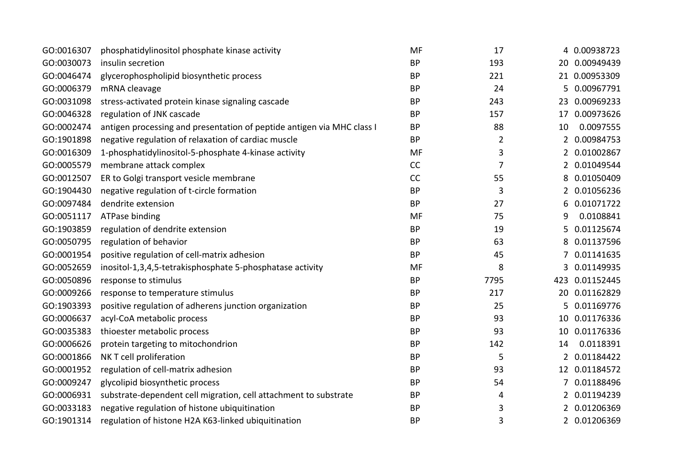| GO:0016307 | phosphatidylinositol phosphate kinase activity                         | MF        | 17             |    | 4 0.00938723   |
|------------|------------------------------------------------------------------------|-----------|----------------|----|----------------|
| GO:0030073 | insulin secretion                                                      | <b>BP</b> | 193            |    | 20 0.00949439  |
| GO:0046474 | glycerophospholipid biosynthetic process                               | <b>BP</b> | 221            |    | 21 0.00953309  |
| GO:0006379 | mRNA cleavage                                                          | <b>BP</b> | 24             | 5  | 0.00967791     |
| GO:0031098 | stress-activated protein kinase signaling cascade                      | <b>BP</b> | 243            |    | 23 0.00969233  |
| GO:0046328 | regulation of JNK cascade                                              | <b>BP</b> | 157            | 17 | 0.00973626     |
| GO:0002474 | antigen processing and presentation of peptide antigen via MHC class I | <b>BP</b> | 88             | 10 | 0.0097555      |
| GO:1901898 | negative regulation of relaxation of cardiac muscle                    | <b>BP</b> | $\overline{2}$ | 2  | 0.00984753     |
| GO:0016309 | 1-phosphatidylinositol-5-phosphate 4-kinase activity                   | MF        | 3              | 2  | 0.01002867     |
| GO:0005579 | membrane attack complex                                                | CC        | $\overline{7}$ | 2  | 0.01049544     |
| GO:0012507 | ER to Golgi transport vesicle membrane                                 | CC        | 55             | 8  | 0.01050409     |
| GO:1904430 | negative regulation of t-circle formation                              | <b>BP</b> | 3              | 2  | 0.01056236     |
| GO:0097484 | dendrite extension                                                     | <b>BP</b> | 27             | 6  | 0.01071722     |
| GO:0051117 | ATPase binding                                                         | MF        | 75             | 9  | 0.0108841      |
| GO:1903859 | regulation of dendrite extension                                       | <b>BP</b> | 19             | 5  | 0.01125674     |
| GO:0050795 | regulation of behavior                                                 | <b>BP</b> | 63             | 8  | 0.01137596     |
| GO:0001954 | positive regulation of cell-matrix adhesion                            | <b>BP</b> | 45             |    | 0.01141635     |
| GO:0052659 | inositol-1,3,4,5-tetrakisphosphate 5-phosphatase activity              | MF        | 8              | 3  | 0.01149935     |
| GO:0050896 | response to stimulus                                                   | <b>BP</b> | 7795           |    | 423 0.01152445 |
| GO:0009266 | response to temperature stimulus                                       | <b>BP</b> | 217            |    | 20 0.01162829  |
| GO:1903393 | positive regulation of adherens junction organization                  | <b>BP</b> | 25             | 5. | 0.01169776     |
| GO:0006637 | acyl-CoA metabolic process                                             | <b>BP</b> | 93             |    | 10 0.01176336  |
| GO:0035383 | thioester metabolic process                                            | <b>BP</b> | 93             |    | 10 0.01176336  |
| GO:0006626 | protein targeting to mitochondrion                                     | <b>BP</b> | 142            | 14 | 0.0118391      |
| GO:0001866 | NK T cell proliferation                                                | <b>BP</b> | 5              |    | 2 0.01184422   |
| GO:0001952 | regulation of cell-matrix adhesion                                     | <b>BP</b> | 93             |    | 12 0.01184572  |
| GO:0009247 | glycolipid biosynthetic process                                        | <b>BP</b> | 54             | 7  | 0.01188496     |
| GO:0006931 | substrate-dependent cell migration, cell attachment to substrate       | <b>BP</b> | 4              | 2  | 0.01194239     |
| GO:0033183 | negative regulation of histone ubiquitination                          | <b>BP</b> | 3              | 2  | 0.01206369     |
| GO:1901314 | regulation of histone H2A K63-linked ubiquitination                    | <b>BP</b> | 3              |    | 2 0.01206369   |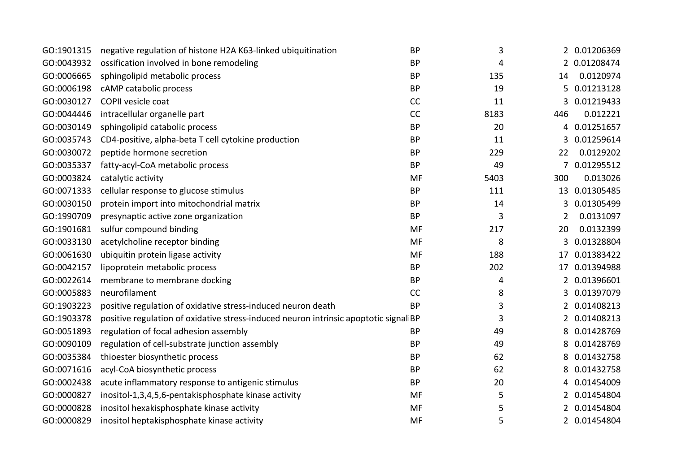| GO:1901315 | negative regulation of histone H2A K63-linked ubiquitination                         | <b>BP</b> | 3    |     | 2 0.01206369 |
|------------|--------------------------------------------------------------------------------------|-----------|------|-----|--------------|
| GO:0043932 | ossification involved in bone remodeling                                             | <b>BP</b> | 4    |     | 2 0.01208474 |
| GO:0006665 | sphingolipid metabolic process                                                       | <b>BP</b> | 135  | 14  | 0.0120974    |
| GO:0006198 | cAMP catabolic process                                                               | <b>BP</b> | 19   | 5   | 0.01213128   |
| GO:0030127 | COPII vesicle coat                                                                   | CC        | 11   | 3   | 0.01219433   |
| GO:0044446 |                                                                                      | CC        | 8183 | 446 | 0.012221     |
|            | intracellular organelle part                                                         |           |      |     |              |
| GO:0030149 | sphingolipid catabolic process                                                       | <b>BP</b> | 20   | 4   | 0.01251657   |
| GO:0035743 | CD4-positive, alpha-beta T cell cytokine production                                  | <b>BP</b> | 11   | 3   | 0.01259614   |
| GO:0030072 | peptide hormone secretion                                                            | <b>BP</b> | 229  | 22  | 0.0129202    |
| GO:0035337 | fatty-acyl-CoA metabolic process                                                     | <b>BP</b> | 49   | 7   | 0.01295512   |
| GO:0003824 | catalytic activity                                                                   | MF        | 5403 | 300 | 0.013026     |
| GO:0071333 | cellular response to glucose stimulus                                                | <b>BP</b> | 111  | 13  | 0.01305485   |
| GO:0030150 | protein import into mitochondrial matrix                                             | <b>BP</b> | 14   | 3   | 0.01305499   |
| GO:1990709 | presynaptic active zone organization                                                 | <b>BP</b> | 3    | 2   | 0.0131097    |
| GO:1901681 | sulfur compound binding                                                              | <b>MF</b> | 217  | 20  | 0.0132399    |
| GO:0033130 | acetylcholine receptor binding                                                       | <b>MF</b> | 8    | 3   | 0.01328804   |
| GO:0061630 | ubiquitin protein ligase activity                                                    | MF        | 188  | 17  | 0.01383422   |
| GO:0042157 | lipoprotein metabolic process                                                        | <b>BP</b> | 202  | 17  | 0.01394988   |
| GO:0022614 | membrane to membrane docking                                                         | <b>BP</b> | 4    | 2   | 0.01396601   |
| GO:0005883 | neurofilament                                                                        | CC        | 8    | 3   | 0.01397079   |
| GO:1903223 | positive regulation of oxidative stress-induced neuron death                         | <b>BP</b> | 3    | 2   | 0.01408213   |
| GO:1903378 | positive regulation of oxidative stress-induced neuron intrinsic apoptotic signal BP |           | 3    | 2   | 0.01408213   |
| GO:0051893 | regulation of focal adhesion assembly                                                | <b>BP</b> | 49   | 8   | 0.01428769   |
| GO:0090109 | regulation of cell-substrate junction assembly                                       | <b>BP</b> | 49   | 8   | 0.01428769   |
| GO:0035384 | thioester biosynthetic process                                                       | <b>BP</b> | 62   | 8   | 0.01432758   |
| GO:0071616 | acyl-CoA biosynthetic process                                                        | <b>BP</b> | 62   | 8   | 0.01432758   |
| GO:0002438 | acute inflammatory response to antigenic stimulus                                    | <b>BP</b> | 20   |     | 0.01454009   |
| GO:0000827 | inositol-1,3,4,5,6-pentakisphosphate kinase activity                                 | <b>MF</b> | 5    | 2   | 0.01454804   |
| GO:0000828 | inositol hexakisphosphate kinase activity                                            | MF        | 5    | 2   | 0.01454804   |
| GO:0000829 | inositol heptakisphosphate kinase activity                                           | MF        | 5    |     | 2 0.01454804 |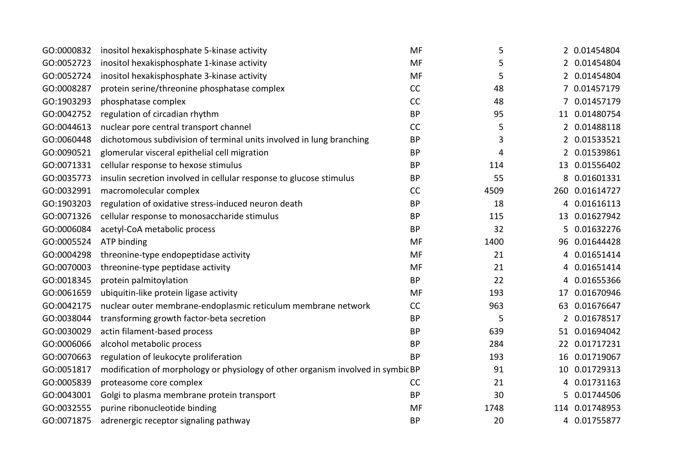| GO:0000832 | inositol hexakisphosphate 5-kinase activity                                      | MF        | 5    |                       | 2 0.01454804   |
|------------|----------------------------------------------------------------------------------|-----------|------|-----------------------|----------------|
| GO:0052723 | inositol hexakisphosphate 1-kinase activity                                      | <b>MF</b> | 5    |                       | 2 0.01454804   |
| GO:0052724 | inositol hexakisphosphate 3-kinase activity                                      | <b>MF</b> | 5    |                       | 2 0.01454804   |
| GO:0008287 | protein serine/threonine phosphatase complex                                     | CC        | 48   | 7                     | 0.01457179     |
| GO:1903293 | phosphatase complex                                                              | <b>CC</b> | 48   |                       | 0.01457179     |
| GO:0042752 | regulation of circadian rhythm                                                   | <b>BP</b> | 95   |                       | 11 0.01480754  |
| GO:0044613 | nuclear pore central transport channel                                           | CC        | 5    |                       | 2 0.01488118   |
| GO:0060448 | dichotomous subdivision of terminal units involved in lung branching             | <b>BP</b> | 3    | $\mathbf{2}^{\prime}$ | 0.01533521     |
| GO:0090521 | glomerular visceral epithelial cell migration                                    | <b>BP</b> | 4    |                       | 0.01539861     |
| GO:0071331 | cellular response to hexose stimulus                                             | <b>BP</b> | 114  |                       | 13 0.01556402  |
| GO:0035773 | insulin secretion involved in cellular response to glucose stimulus              | <b>BP</b> | 55   | 8                     | 0.01601331     |
| GO:0032991 | macromolecular complex                                                           | CC        | 4509 |                       | 260 0.01614727 |
| GO:1903203 | regulation of oxidative stress-induced neuron death                              | <b>BP</b> | 18   | 4                     | 0.01616113     |
| GO:0071326 | cellular response to monosaccharide stimulus                                     | <b>BP</b> | 115  | 13                    | 0.01627942     |
| GO:0006084 | acetyl-CoA metabolic process                                                     | <b>BP</b> | 32   |                       | 0.01632276     |
| GO:0005524 | ATP binding                                                                      | <b>MF</b> | 1400 |                       | 96 0.01644428  |
| GO:0004298 | threonine-type endopeptidase activity                                            | <b>MF</b> | 21   | 4                     | 0.01651414     |
| GO:0070003 | threonine-type peptidase activity                                                | <b>MF</b> | 21   | 4                     | 0.01651414     |
| GO:0018345 | protein palmitoylation                                                           | <b>BP</b> | 22   | 4                     | 0.01655366     |
| GO:0061659 | ubiquitin-like protein ligase activity                                           | <b>MF</b> | 193  | 17                    | 0.01670946     |
| GO:0042175 | nuclear outer membrane-endoplasmic reticulum membrane network                    | CC        | 963  |                       | 63 0.01676647  |
| GO:0038044 | transforming growth factor-beta secretion                                        | <b>BP</b> | 5    | $\overline{2}$        | 0.01678517     |
| GO:0030029 | actin filament-based process                                                     | <b>BP</b> | 639  |                       | 51 0.01694042  |
| GO:0006066 | alcohol metabolic process                                                        | <b>BP</b> | 284  |                       | 22 0.01717231  |
| GO:0070663 | regulation of leukocyte proliferation                                            | <b>BP</b> | 193  |                       | 16 0.01719067  |
| GO:0051817 | modification of morphology or physiology of other organism involved in symbic BP |           | 91   | 10-                   | 0.01729313     |
| GO:0005839 | proteasome core complex                                                          | <b>CC</b> | 21   | 4                     | 0.01731163     |
| GO:0043001 | Golgi to plasma membrane protein transport                                       | <b>BP</b> | 30   | 5.                    | 0.01744506     |
| GO:0032555 | purine ribonucleotide binding                                                    | MF        | 1748 |                       | 114 0.01748953 |
| GO:0071875 | adrenergic receptor signaling pathway                                            | <b>BP</b> | 20   |                       | 4 0.01755877   |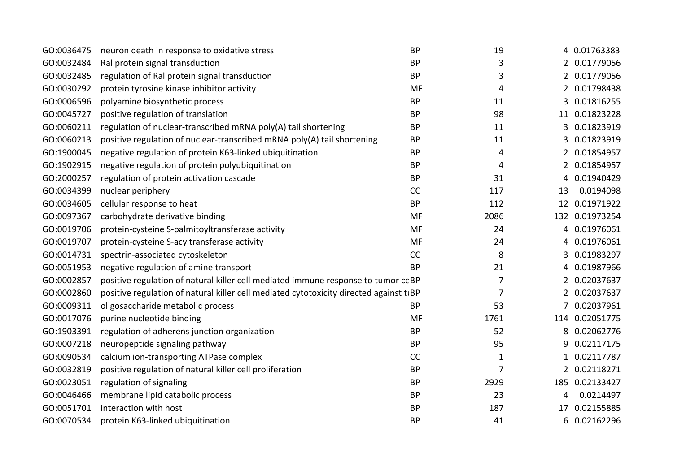| GO:0036475 | neuron death in response to oxidative stress                                           | <b>BP</b> | 19             |                | 4 0.01763383   |
|------------|----------------------------------------------------------------------------------------|-----------|----------------|----------------|----------------|
| GO:0032484 | Ral protein signal transduction                                                        | <b>BP</b> | 3              |                | 2 0.01779056   |
| GO:0032485 | regulation of Ral protein signal transduction                                          | <b>BP</b> | 3              | 2              | 0.01779056     |
| GO:0030292 | protein tyrosine kinase inhibitor activity                                             | MF        | 4              | $\overline{2}$ | 0.01798438     |
| GO:0006596 | polyamine biosynthetic process                                                         | <b>BP</b> | 11             |                | 0.01816255     |
| GO:0045727 | positive regulation of translation                                                     | <b>BP</b> | 98             | 11             | 0.01823228     |
| GO:0060211 | regulation of nuclear-transcribed mRNA poly(A) tail shortening                         | <b>BP</b> | 11             | 3              | 0.01823919     |
| GO:0060213 | positive regulation of nuclear-transcribed mRNA poly(A) tail shortening                | <b>BP</b> | 11             | 3              | 0.01823919     |
| GO:1900045 | negative regulation of protein K63-linked ubiquitination                               | <b>BP</b> | 4              | 2              | 0.01854957     |
| GO:1902915 | negative regulation of protein polyubiquitination                                      | <b>BP</b> | 4              | 2              | 0.01854957     |
| GO:2000257 | regulation of protein activation cascade                                               | <b>BP</b> | 31             | 4              | 0.01940429     |
| GO:0034399 | nuclear periphery                                                                      | CC        | 117            | 13             | 0.0194098      |
| GO:0034605 | cellular response to heat                                                              | <b>BP</b> | 112            |                | 12 0.01971922  |
| GO:0097367 | carbohydrate derivative binding                                                        | <b>MF</b> | 2086           |                | 132 0.01973254 |
| GO:0019706 | protein-cysteine S-palmitoyltransferase activity                                       | MF        | 24             | 4              | 0.01976061     |
| GO:0019707 | protein-cysteine S-acyltransferase activity                                            | <b>MF</b> | 24             | 4              | 0.01976061     |
| GO:0014731 | spectrin-associated cytoskeleton                                                       | CC        | 8              | 3              | 0.01983297     |
| GO:0051953 | negative regulation of amine transport                                                 | <b>BP</b> | 21             | 4              | 0.01987966     |
| GO:0002857 | positive regulation of natural killer cell mediated immune response to tumor ceBP      |           | 7              |                | 0.02037637     |
| GO:0002860 | positive regulation of natural killer cell mediated cytotoxicity directed against tiBP |           | $\overline{7}$ |                | 2 0.02037637   |
| GO:0009311 | oligosaccharide metabolic process                                                      | <b>BP</b> | 53             | 7              | 0.02037961     |
| GO:0017076 | purine nucleotide binding                                                              | <b>MF</b> | 1761           | 114            | 0.02051775     |
| GO:1903391 | regulation of adherens junction organization                                           | <b>BP</b> | 52             | 8              | 0.02062776     |
| GO:0007218 | neuropeptide signaling pathway                                                         | <b>BP</b> | 95             | 9              | 0.02117175     |
| GO:0090534 | calcium ion-transporting ATPase complex                                                | CC        | $\mathbf{1}$   |                | 0.02117787     |
| GO:0032819 | positive regulation of natural killer cell proliferation                               | <b>BP</b> | $\overline{7}$ |                | 2 0.02118271   |
| GO:0023051 | regulation of signaling                                                                | <b>BP</b> | 2929           | 185            | 0.02133427     |
| GO:0046466 | membrane lipid catabolic process                                                       | <b>BP</b> | 23             | 4              | 0.0214497      |
| GO:0051701 | interaction with host                                                                  | <b>BP</b> | 187            | 17             | 0.02155885     |
| GO:0070534 | protein K63-linked ubiquitination                                                      | <b>BP</b> | 41             | 6              | 0.02162296     |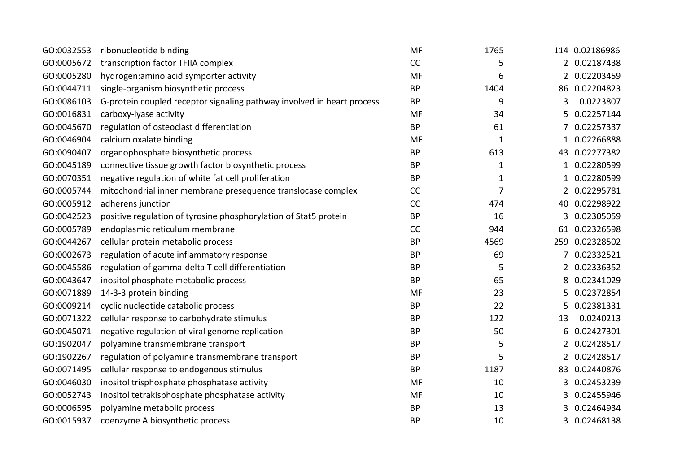| GO:0032553 | ribonucleotide binding                                                 | <b>MF</b> | 1765           |                | 114 0.02186986 |
|------------|------------------------------------------------------------------------|-----------|----------------|----------------|----------------|
| GO:0005672 | transcription factor TFIIA complex                                     | CC        | 5              |                | 2 0.02187438   |
| GO:0005280 | hydrogen: amino acid symporter activity                                | MF        | 6              | 2              | 0.02203459     |
| GO:0044711 | single-organism biosynthetic process                                   | <b>BP</b> | 1404           |                | 86 0.02204823  |
| GO:0086103 | G-protein coupled receptor signaling pathway involved in heart process | <b>BP</b> | 9              | 3              | 0.0223807      |
| GO:0016831 | carboxy-lyase activity                                                 | <b>MF</b> | 34             | 5              | 0.02257144     |
| GO:0045670 | regulation of osteoclast differentiation                               | <b>BP</b> | 61             |                | 0.02257337     |
| GO:0046904 | calcium oxalate binding                                                | MF        | $\mathbf{1}$   | 1              | 0.02266888     |
| GO:0090407 | organophosphate biosynthetic process                                   | <b>BP</b> | 613            |                | 43 0.02277382  |
| GO:0045189 | connective tissue growth factor biosynthetic process                   | <b>BP</b> | $\mathbf{1}$   | 1              | 0.02280599     |
| GO:0070351 | negative regulation of white fat cell proliferation                    | <b>BP</b> | 1              |                | 0.02280599     |
| GO:0005744 | mitochondrial inner membrane presequence translocase complex           | CC        | $\overline{7}$ | $\overline{2}$ | 0.02295781     |
| GO:0005912 | adherens junction                                                      | CC        | 474            | 40             | 0.02298922     |
| GO:0042523 | positive regulation of tyrosine phosphorylation of Stat5 protein       | <b>BP</b> | 16             | 3.             | 0.02305059     |
| GO:0005789 | endoplasmic reticulum membrane                                         | <b>CC</b> | 944            | 61             | 0.02326598     |
| GO:0044267 | cellular protein metabolic process                                     | <b>BP</b> | 4569           |                | 259 0.02328502 |
| GO:0002673 | regulation of acute inflammatory response                              | <b>BP</b> | 69             |                | 0.02332521     |
| GO:0045586 | regulation of gamma-delta T cell differentiation                       | <b>BP</b> | 5              | 2              | 0.02336352     |
| GO:0043647 | inositol phosphate metabolic process                                   | <b>BP</b> | 65             | 8              | 0.02341029     |
| GO:0071889 | 14-3-3 protein binding                                                 | <b>MF</b> | 23             | 5              | 0.02372854     |
| GO:0009214 | cyclic nucleotide catabolic process                                    | <b>BP</b> | 22             | 5              | 0.02381331     |
| GO:0071322 | cellular response to carbohydrate stimulus                             | <b>BP</b> | 122            | 13             | 0.0240213      |
| GO:0045071 | negative regulation of viral genome replication                        | <b>BP</b> | 50             | 6              | 0.02427301     |
| GO:1902047 | polyamine transmembrane transport                                      | <b>BP</b> | 5              | 2              | 0.02428517     |
| GO:1902267 | regulation of polyamine transmembrane transport                        | <b>BP</b> | 5              | 2              | 0.02428517     |
| GO:0071495 | cellular response to endogenous stimulus                               | <b>BP</b> | 1187           | 83             | 0.02440876     |
| GO:0046030 | inositol trisphosphate phosphatase activity                            | MF        | 10             | 3              | 0.02453239     |
| GO:0052743 | inositol tetrakisphosphate phosphatase activity                        | <b>MF</b> | 10             | 3              | 0.02455946     |
| GO:0006595 | polyamine metabolic process                                            | <b>BP</b> | 13             |                | 0.02464934     |
| GO:0015937 | coenzyme A biosynthetic process                                        | <b>BP</b> | 10             |                | 3 0.02468138   |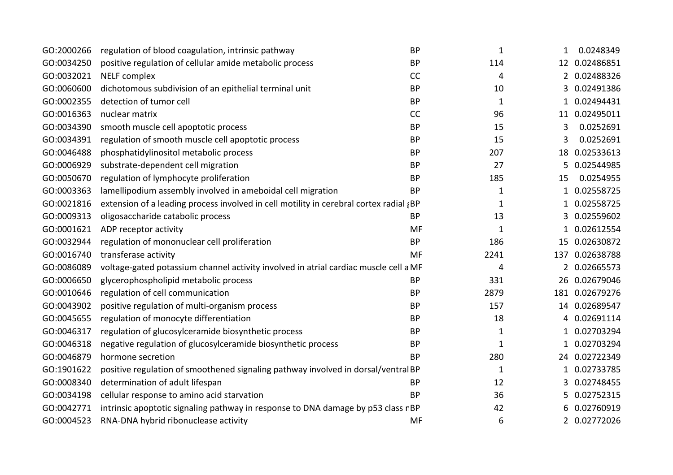| GO:2000266 | regulation of blood coagulation, intrinsic pathway                                     | <b>BP</b> | $\mathbf{1}$ | 1            | 0.0248349      |
|------------|----------------------------------------------------------------------------------------|-----------|--------------|--------------|----------------|
| GO:0034250 | positive regulation of cellular amide metabolic process                                | <b>BP</b> | 114          |              | 12 0.02486851  |
| GO:0032021 | <b>NELF</b> complex                                                                    | <b>CC</b> | 4            | $2^{\circ}$  | 0.02488326     |
| GO:0060600 | dichotomous subdivision of an epithelial terminal unit                                 | <b>BP</b> | 10           | 3            | 0.02491386     |
| GO:0002355 | detection of tumor cell                                                                | <b>BP</b> | $\mathbf{1}$ |              | 0.02494431     |
| GO:0016363 | nuclear matrix                                                                         | CC        | 96           |              | 11 0.02495011  |
| GO:0034390 | smooth muscle cell apoptotic process                                                   | <b>BP</b> | 15           | 3            | 0.0252691      |
| GO:0034391 | regulation of smooth muscle cell apoptotic process                                     | <b>BP</b> | 15           | 3            | 0.0252691      |
| GO:0046488 | phosphatidylinositol metabolic process                                                 | <b>BP</b> | 207          |              | 18 0.02533613  |
| GO:0006929 | substrate-dependent cell migration                                                     | <b>BP</b> | 27           | 5.           | 0.02544985     |
| GO:0050670 | regulation of lymphocyte proliferation                                                 | <b>BP</b> | 185          | 15           | 0.0254955      |
| GO:0003363 | lamellipodium assembly involved in ameboidal cell migration                            | <b>BP</b> | $\mathbf{1}$ | $\mathbf{1}$ | 0.02558725     |
| GO:0021816 | extension of a leading process involved in cell motility in cerebral cortex radial (BP |           | 1            | 1            | 0.02558725     |
| GO:0009313 | oligosaccharide catabolic process                                                      | <b>BP</b> | 13           | 3            | 0.02559602     |
| GO:0001621 | ADP receptor activity                                                                  | MF        | 1            |              | 0.02612554     |
| GO:0032944 | regulation of mononuclear cell proliferation                                           | <b>BP</b> | 186          |              | 15 0.02630872  |
| GO:0016740 | transferase activity                                                                   | MF        | 2241         |              | 137 0.02638788 |
| GO:0086089 | voltage-gated potassium channel activity involved in atrial cardiac muscle cell a MF   |           | 4            |              | 2 0.02665573   |
| GO:0006650 | glycerophospholipid metabolic process                                                  | <b>BP</b> | 331          |              | 26 0.02679046  |
| GO:0010646 | regulation of cell communication                                                       | <b>BP</b> | 2879         |              | 181 0.02679276 |
| GO:0043902 | positive regulation of multi-organism process                                          | <b>BP</b> | 157          |              | 14 0.02689547  |
| GO:0045655 | regulation of monocyte differentiation                                                 | <b>BP</b> | 18           | 4            | 0.02691114     |
| GO:0046317 | regulation of glucosylceramide biosynthetic process                                    | <b>BP</b> | 1            |              | 0.02703294     |
| GO:0046318 | negative regulation of glucosylceramide biosynthetic process                           | <b>BP</b> | $\mathbf{1}$ | 1            | 0.02703294     |
| GO:0046879 | hormone secretion                                                                      | <b>BP</b> | 280          |              | 24 0.02722349  |
| GO:1901622 | positive regulation of smoothened signaling pathway involved in dorsal/ventralBP       |           | $\mathbf 1$  | 1            | 0.02733785     |
| GO:0008340 | determination of adult lifespan                                                        | <b>BP</b> | 12           | 3            | 0.02748455     |
| GO:0034198 | cellular response to amino acid starvation                                             | <b>BP</b> | 36           | 5            | 0.02752315     |
| GO:0042771 | intrinsic apoptotic signaling pathway in response to DNA damage by p53 class rBP       |           | 42           |              | 0.02760919     |
| GO:0004523 | RNA-DNA hybrid ribonuclease activity                                                   | MF        | 6            |              | 2 0.02772026   |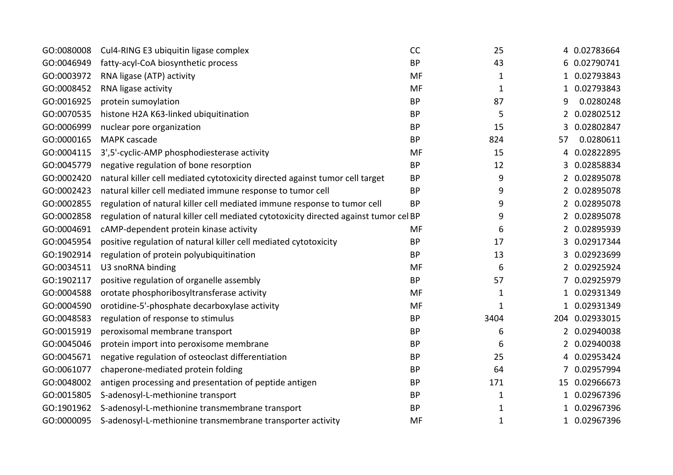| GO:0080008 | Cul4-RING E3 ubiquitin ligase complex                                                 | CC        | 25           |              | 4 0.02783664   |
|------------|---------------------------------------------------------------------------------------|-----------|--------------|--------------|----------------|
| GO:0046949 | fatty-acyl-CoA biosynthetic process                                                   | <b>BP</b> | 43           | 6            | 0.02790741     |
| GO:0003972 | RNA ligase (ATP) activity                                                             | MF        | 1            |              | 0.02793843     |
| GO:0008452 | RNA ligase activity                                                                   | <b>MF</b> | $\mathbf{1}$ | 1            | 0.02793843     |
| GO:0016925 | protein sumoylation                                                                   | <b>BP</b> | 87           | 9            | 0.0280248      |
| GO:0070535 | histone H2A K63-linked ubiquitination                                                 | <b>BP</b> | 5            | 2            | 0.02802512     |
| GO:0006999 | nuclear pore organization                                                             | <b>BP</b> | 15           | 3            | 0.02802847     |
| GO:0000165 | <b>MAPK</b> cascade                                                                   | <b>BP</b> | 824          | 57           | 0.0280611      |
| GO:0004115 | 3',5'-cyclic-AMP phosphodiesterase activity                                           | MF        | 15           | 4            | 0.02822895     |
| GO:0045779 | negative regulation of bone resorption                                                | <b>BP</b> | 12           | 3            | 0.02858834     |
| GO:0002420 | natural killer cell mediated cytotoxicity directed against tumor cell target          | <b>BP</b> | 9            | 2            | 0.02895078     |
| GO:0002423 | natural killer cell mediated immune response to tumor cell                            | <b>BP</b> | 9            | 2            | 0.02895078     |
| GO:0002855 | regulation of natural killer cell mediated immune response to tumor cell              | <b>BP</b> | 9            | 2            | 0.02895078     |
| GO:0002858 | regulation of natural killer cell mediated cytotoxicity directed against tumor cel BP |           | 9            | $2^{\circ}$  | 0.02895078     |
| GO:0004691 | cAMP-dependent protein kinase activity                                                | MF        | 6            | 2            | 0.02895939     |
| GO:0045954 | positive regulation of natural killer cell mediated cytotoxicity                      | <b>BP</b> | 17           | 3            | 0.02917344     |
| GO:1902914 | regulation of protein polyubiquitination                                              | <b>BP</b> | 13           | 3            | 0.02923699     |
| GO:0034511 | U3 snoRNA binding                                                                     | MF        | 6            | 2            | 0.02925924     |
| GO:1902117 | positive regulation of organelle assembly                                             | <b>BP</b> | 57           |              | 0.02925979     |
| GO:0004588 | orotate phosphoribosyltransferase activity                                            | MF        | $\mathbf{1}$ | 1            | 0.02931349     |
| GO:0004590 | orotidine-5'-phosphate decarboxylase activity                                         | MF        | $\mathbf{1}$ |              | 1 0.02931349   |
| GO:0048583 | regulation of response to stimulus                                                    | <b>BP</b> | 3404         |              | 204 0.02933015 |
| GO:0015919 | peroxisomal membrane transport                                                        | <b>BP</b> | 6            |              | 2 0.02940038   |
| GO:0045046 | protein import into peroxisome membrane                                               | <b>BP</b> | 6            | $2^{\circ}$  | 0.02940038     |
| GO:0045671 | negative regulation of osteoclast differentiation                                     | <b>BP</b> | 25           | 4            | 0.02953424     |
| GO:0061077 | chaperone-mediated protein folding                                                    | <b>BP</b> | 64           |              | 0.02957994     |
| GO:0048002 | antigen processing and presentation of peptide antigen                                | <b>BP</b> | 171          |              | 15 0.02966673  |
| GO:0015805 | S-adenosyl-L-methionine transport                                                     | <b>BP</b> | $\mathbf{1}$ | $\mathbf{1}$ | 0.02967396     |
| GO:1901962 | S-adenosyl-L-methionine transmembrane transport                                       | <b>BP</b> | 1            |              | 0.02967396     |
| GO:0000095 | S-adenosyl-L-methionine transmembrane transporter activity                            | MF        | $\mathbf{1}$ |              | 1 0.02967396   |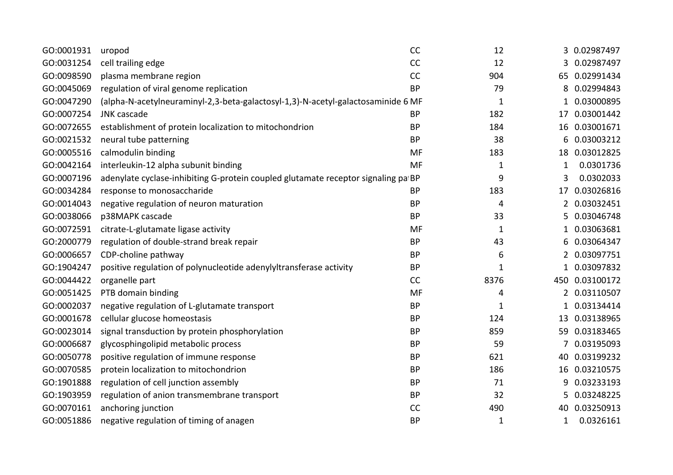| GO:0001931 | uropod                                                                            | CC        | 12           |              | 3 0.02987497 |
|------------|-----------------------------------------------------------------------------------|-----------|--------------|--------------|--------------|
| GO:0031254 | cell trailing edge                                                                | CC        | 12           | 3            | 0.02987497   |
| GO:0098590 | plasma membrane region                                                            | CC        | 904          | 65           | 0.02991434   |
| GO:0045069 | regulation of viral genome replication                                            | <b>BP</b> | 79           | 8            | 0.02994843   |
| GO:0047290 | (alpha-N-acetylneuraminyl-2,3-beta-galactosyl-1,3)-N-acetyl-galactosaminide 6 MF  |           | $\mathbf{1}$ |              | 0.03000895   |
| GO:0007254 | JNK cascade                                                                       | <b>BP</b> | 182          | 17           | 0.03001442   |
| GO:0072655 | establishment of protein localization to mitochondrion                            | <b>BP</b> | 184          | 16           | 0.03001671   |
| GO:0021532 | neural tube patterning                                                            | <b>BP</b> | 38           | 6            | 0.03003212   |
| GO:0005516 | calmodulin binding                                                                | MF        | 183          | 18           | 0.03012825   |
| GO:0042164 | interleukin-12 alpha subunit binding                                              | <b>MF</b> | $\mathbf{1}$ | 1            | 0.0301736    |
| GO:0007196 | adenylate cyclase-inhibiting G-protein coupled glutamate receptor signaling pa BP |           | 9            | 3            | 0.0302033    |
| GO:0034284 | response to monosaccharide                                                        | <b>BP</b> | 183          | 17           | 0.03026816   |
| GO:0014043 | negative regulation of neuron maturation                                          | <b>BP</b> | 4            |              | 0.03032451   |
| GO:0038066 | p38MAPK cascade                                                                   | <b>BP</b> | 33           | 5            | 0.03046748   |
| GO:0072591 | citrate-L-glutamate ligase activity                                               | MF        | $\mathbf{1}$ |              | 0.03063681   |
| GO:2000779 | regulation of double-strand break repair                                          | <b>BP</b> | 43           | 6            | 0.03064347   |
| GO:0006657 | CDP-choline pathway                                                               | <b>BP</b> | 6            |              | 0.03097751   |
| GO:1904247 | positive regulation of polynucleotide adenylyltransferase activity                | <b>BP</b> | $\mathbf{1}$ | $\mathbf{1}$ | 0.03097832   |
| GO:0044422 | organelle part                                                                    | CC        | 8376         | 450          | 0.03100172   |
| GO:0051425 | PTB domain binding                                                                | MF        | 4            | 2            | 0.03110507   |
| GO:0002037 | negative regulation of L-glutamate transport                                      | <b>BP</b> | $\mathbf{1}$ |              | 0.03134414   |
| GO:0001678 | cellular glucose homeostasis                                                      | <b>BP</b> | 124          | 13           | 0.03138965   |
| GO:0023014 | signal transduction by protein phosphorylation                                    | <b>BP</b> | 859          | 59           | 0.03183465   |
| GO:0006687 | glycosphingolipid metabolic process                                               | <b>BP</b> | 59           |              | 0.03195093   |
| GO:0050778 | positive regulation of immune response                                            | <b>BP</b> | 621          | 40           | 0.03199232   |
| GO:0070585 | protein localization to mitochondrion                                             | <b>BP</b> | 186          | 16           | 0.03210575   |
| GO:1901888 | regulation of cell junction assembly                                              | <b>BP</b> | 71           | 9            | 0.03233193   |
| GO:1903959 | regulation of anion transmembrane transport                                       | <b>BP</b> | 32           | 5            | 0.03248225   |
| GO:0070161 | anchoring junction                                                                | CC        | 490          | 40           | 0.03250913   |
| GO:0051886 | negative regulation of timing of anagen                                           | <b>BP</b> | $\mathbf{1}$ | 1            | 0.0326161    |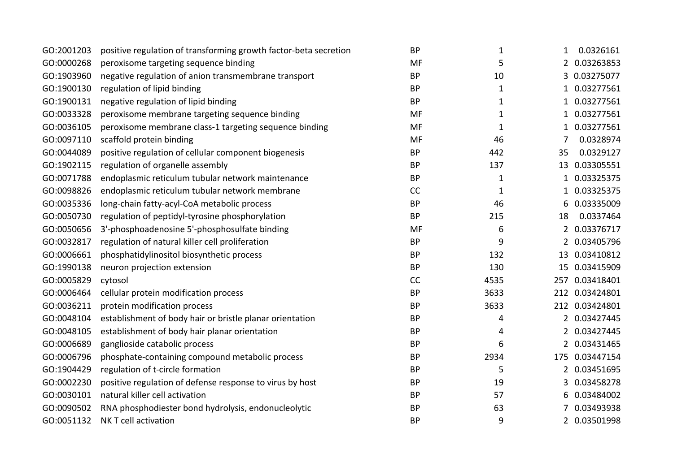| GO:2001203 | positive regulation of transforming growth factor-beta secretion | <b>BP</b> | $\mathbf 1$  | $\mathbf{1}$ | 0.0326161      |
|------------|------------------------------------------------------------------|-----------|--------------|--------------|----------------|
| GO:0000268 | peroxisome targeting sequence binding                            | MF        | 5            |              | 2 0.03263853   |
| GO:1903960 | negative regulation of anion transmembrane transport             | <b>BP</b> | 10           | 3            | 0.03275077     |
| GO:1900130 | regulation of lipid binding                                      | <b>BP</b> | $\mathbf{1}$ | $\mathbf{1}$ | 0.03277561     |
| GO:1900131 | negative regulation of lipid binding                             | <b>BP</b> | 1            | 1            | 0.03277561     |
| GO:0033328 | peroxisome membrane targeting sequence binding                   | MF        | $\mathbf{1}$ | 1            | 0.03277561     |
| GO:0036105 | peroxisome membrane class-1 targeting sequence binding           | MF        | $\mathbf 1$  | $\mathbf{1}$ | 0.03277561     |
| GO:0097110 | scaffold protein binding                                         | MF        | 46           | 7            | 0.0328974      |
| GO:0044089 | positive regulation of cellular component biogenesis             | <b>BP</b> | 442          | 35           | 0.0329127      |
| GO:1902115 | regulation of organelle assembly                                 | <b>BP</b> | 137          |              | 13 0.03305551  |
| GO:0071788 | endoplasmic reticulum tubular network maintenance                | <b>BP</b> | $\mathbf{1}$ | 1            | 0.03325375     |
| GO:0098826 | endoplasmic reticulum tubular network membrane                   | CC        | $\mathbf{1}$ | 1            | 0.03325375     |
| GO:0035336 | long-chain fatty-acyl-CoA metabolic process                      | <b>BP</b> | 46           | 6            | 0.03335009     |
| GO:0050730 | regulation of peptidyl-tyrosine phosphorylation                  | <b>BP</b> | 215          | 18           | 0.0337464      |
| GO:0050656 | 3'-phosphoadenosine 5'-phosphosulfate binding                    | MF        | 6            |              | 2 0.03376717   |
| GO:0032817 | regulation of natural killer cell proliferation                  | <b>BP</b> | 9            |              | 2 0.03405796   |
| GO:0006661 | phosphatidylinositol biosynthetic process                        | <b>BP</b> | 132          |              | 13 0.03410812  |
| GO:1990138 | neuron projection extension                                      | <b>BP</b> | 130          |              | 15 0.03415909  |
| GO:0005829 | cytosol                                                          | CC        | 4535         |              | 257 0.03418401 |
| GO:0006464 | cellular protein modification process                            | <b>BP</b> | 3633         |              | 212 0.03424801 |
| GO:0036211 | protein modification process                                     | <b>BP</b> | 3633         |              | 212 0.03424801 |
| GO:0048104 | establishment of body hair or bristle planar orientation         | <b>BP</b> | 4            |              | 2 0.03427445   |
| GO:0048105 | establishment of body hair planar orientation                    | <b>BP</b> | 4            |              | 2 0.03427445   |
| GO:0006689 | ganglioside catabolic process                                    | <b>BP</b> | 6            | 2            | 0.03431465     |
| GO:0006796 | phosphate-containing compound metabolic process                  | <b>BP</b> | 2934         |              | 175 0.03447154 |
| GO:1904429 | regulation of t-circle formation                                 | <b>BP</b> | 5            |              | 2 0.03451695   |
| GO:0002230 | positive regulation of defense response to virus by host         | <b>BP</b> | 19           | 3            | 0.03458278     |
| GO:0030101 | natural killer cell activation                                   | <b>BP</b> | 57           | 6            | 0.03484002     |
| GO:0090502 | RNA phosphodiester bond hydrolysis, endonucleolytic              | <b>BP</b> | 63           |              | 0.03493938     |
| GO:0051132 | NK T cell activation                                             | <b>BP</b> | 9            |              | 2 0.03501998   |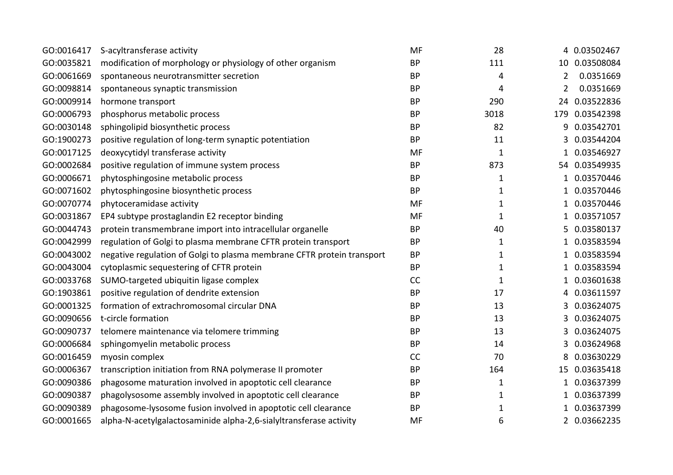|                                                                        |                                                                                                                                                                                                                                                                                                                                                                                                                  |                                                                                                                                |                                                                       | 4 0.03502467            |
|------------------------------------------------------------------------|------------------------------------------------------------------------------------------------------------------------------------------------------------------------------------------------------------------------------------------------------------------------------------------------------------------------------------------------------------------------------------------------------------------|--------------------------------------------------------------------------------------------------------------------------------|-----------------------------------------------------------------------|-------------------------|
|                                                                        |                                                                                                                                                                                                                                                                                                                                                                                                                  |                                                                                                                                |                                                                       | 10 0.03508084           |
|                                                                        |                                                                                                                                                                                                                                                                                                                                                                                                                  |                                                                                                                                |                                                                       | 0.0351669               |
|                                                                        |                                                                                                                                                                                                                                                                                                                                                                                                                  |                                                                                                                                |                                                                       | 0.0351669               |
|                                                                        |                                                                                                                                                                                                                                                                                                                                                                                                                  |                                                                                                                                |                                                                       |                         |
|                                                                        |                                                                                                                                                                                                                                                                                                                                                                                                                  |                                                                                                                                |                                                                       | 24 0.03522836           |
|                                                                        |                                                                                                                                                                                                                                                                                                                                                                                                                  |                                                                                                                                |                                                                       | 0.03542398              |
|                                                                        |                                                                                                                                                                                                                                                                                                                                                                                                                  |                                                                                                                                |                                                                       | 0.03542701              |
|                                                                        |                                                                                                                                                                                                                                                                                                                                                                                                                  |                                                                                                                                |                                                                       | 0.03544204              |
|                                                                        |                                                                                                                                                                                                                                                                                                                                                                                                                  |                                                                                                                                |                                                                       | 0.03546927              |
|                                                                        |                                                                                                                                                                                                                                                                                                                                                                                                                  |                                                                                                                                |                                                                       | 54 0.03549935           |
| phytosphingosine metabolic process                                     | <b>BP</b>                                                                                                                                                                                                                                                                                                                                                                                                        | 1                                                                                                                              |                                                                       | 0.03570446              |
| phytosphingosine biosynthetic process                                  | <b>BP</b>                                                                                                                                                                                                                                                                                                                                                                                                        | $\mathbf{1}$                                                                                                                   | 1                                                                     | 0.03570446              |
| phytoceramidase activity                                               | <b>MF</b>                                                                                                                                                                                                                                                                                                                                                                                                        | 1                                                                                                                              |                                                                       | 0.03570446              |
| EP4 subtype prostaglandin E2 receptor binding                          | <b>MF</b>                                                                                                                                                                                                                                                                                                                                                                                                        | $\mathbf{1}$                                                                                                                   | 1                                                                     | 0.03571057              |
| protein transmembrane import into intracellular organelle              | <b>BP</b>                                                                                                                                                                                                                                                                                                                                                                                                        | 40                                                                                                                             | 5                                                                     | 0.03580137              |
| regulation of Golgi to plasma membrane CFTR protein transport          | <b>BP</b>                                                                                                                                                                                                                                                                                                                                                                                                        | $\mathbf{1}$                                                                                                                   | 1                                                                     | 0.03583594              |
| negative regulation of Golgi to plasma membrane CFTR protein transport | <b>BP</b>                                                                                                                                                                                                                                                                                                                                                                                                        | 1                                                                                                                              |                                                                       | 0.03583594              |
| cytoplasmic sequestering of CFTR protein                               | <b>BP</b>                                                                                                                                                                                                                                                                                                                                                                                                        | $\mathbf{1}$                                                                                                                   | 1                                                                     | 0.03583594              |
| SUMO-targeted ubiquitin ligase complex                                 | CC                                                                                                                                                                                                                                                                                                                                                                                                               | $\mathbf{1}$                                                                                                                   |                                                                       | 0.03601638              |
| positive regulation of dendrite extension                              | <b>BP</b>                                                                                                                                                                                                                                                                                                                                                                                                        | 17                                                                                                                             | 4                                                                     | 0.03611597              |
| formation of extrachromosomal circular DNA                             | <b>BP</b>                                                                                                                                                                                                                                                                                                                                                                                                        | 13                                                                                                                             | 3                                                                     | 0.03624075              |
| t-circle formation                                                     | <b>BP</b>                                                                                                                                                                                                                                                                                                                                                                                                        | 13                                                                                                                             | 3                                                                     | 0.03624075              |
| telomere maintenance via telomere trimming                             | <b>BP</b>                                                                                                                                                                                                                                                                                                                                                                                                        | 13                                                                                                                             | 3                                                                     | 0.03624075              |
| sphingomyelin metabolic process                                        | <b>BP</b>                                                                                                                                                                                                                                                                                                                                                                                                        | 14                                                                                                                             | 3                                                                     | 0.03624968              |
| myosin complex                                                         | <b>CC</b>                                                                                                                                                                                                                                                                                                                                                                                                        | 70                                                                                                                             |                                                                       | 0.03630229              |
| transcription initiation from RNA polymerase II promoter               | BP                                                                                                                                                                                                                                                                                                                                                                                                               | 164                                                                                                                            | 15                                                                    | 0.03635418              |
| phagosome maturation involved in apoptotic cell clearance              | <b>BP</b>                                                                                                                                                                                                                                                                                                                                                                                                        | $\mathbf{1}$                                                                                                                   |                                                                       | 0.03637399              |
| phagolysosome assembly involved in apoptotic cell clearance            | <b>BP</b>                                                                                                                                                                                                                                                                                                                                                                                                        | 1                                                                                                                              | 1                                                                     | 0.03637399              |
| phagosome-lysosome fusion involved in apoptotic cell clearance         | <b>BP</b>                                                                                                                                                                                                                                                                                                                                                                                                        | 1                                                                                                                              |                                                                       | 0.03637399              |
| alpha-N-acetylgalactosaminide alpha-2,6-sialyltransferase activity     | MF                                                                                                                                                                                                                                                                                                                                                                                                               | 6                                                                                                                              |                                                                       | 2 0.03662235            |
|                                                                        | S-acyltransferase activity<br>modification of morphology or physiology of other organism<br>spontaneous neurotransmitter secretion<br>spontaneous synaptic transmission<br>hormone transport<br>phosphorus metabolic process<br>sphingolipid biosynthetic process<br>positive regulation of long-term synaptic potentiation<br>deoxycytidyl transferase activity<br>positive regulation of immune system process | <b>MF</b><br><b>BP</b><br><b>BP</b><br><b>BP</b><br><b>BP</b><br><b>BP</b><br><b>BP</b><br><b>BP</b><br><b>MF</b><br><b>BP</b> | 28<br>111<br>4<br>4<br>290<br>3018<br>82<br>11<br>$\mathbf{1}$<br>873 | 2<br>2<br>179<br>9<br>3 |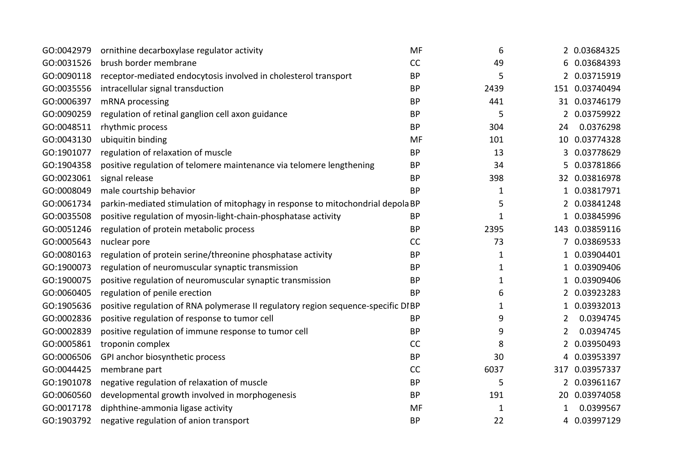| GO:0042979 | ornithine decarboxylase regulator activity                                        | MF        | 6            |                | 2 0.03684325   |
|------------|-----------------------------------------------------------------------------------|-----------|--------------|----------------|----------------|
| GO:0031526 | brush border membrane                                                             | CC        | 49           |                | 6 0.03684393   |
| GO:0090118 | receptor-mediated endocytosis involved in cholesterol transport                   | <b>BP</b> | 5            |                | 2 0.03715919   |
| GO:0035556 | intracellular signal transduction                                                 | <b>BP</b> | 2439         |                | 151 0.03740494 |
| GO:0006397 | mRNA processing                                                                   | <b>BP</b> | 441          |                | 31 0.03746179  |
| GO:0090259 | regulation of retinal ganglion cell axon guidance                                 | <b>BP</b> | 5            |                | 2 0.03759922   |
| GO:0048511 | rhythmic process                                                                  | <b>BP</b> | 304          | 24             | 0.0376298      |
| GO:0043130 | ubiquitin binding                                                                 | MF        | 101          |                | 10 0.03774328  |
| GO:1901077 | regulation of relaxation of muscle                                                | <b>BP</b> | 13           |                | 3 0.03778629   |
| GO:1904358 | positive regulation of telomere maintenance via telomere lengthening              | <b>BP</b> | 34           |                | 5 0.03781866   |
| GO:0023061 | signal release                                                                    | <b>BP</b> | 398          |                | 32 0.03816978  |
| GO:0008049 | male courtship behavior                                                           | <b>BP</b> | $\mathbf{1}$ |                | 1 0.03817971   |
| GO:0061734 | parkin-mediated stimulation of mitophagy in response to mitochondrial depola BP   |           | 5            |                | 2 0.03841248   |
| GO:0035508 | positive regulation of myosin-light-chain-phosphatase activity                    | <b>BP</b> | $\mathbf{1}$ |                | 1 0.03845996   |
| GO:0051246 | regulation of protein metabolic process                                           | <b>BP</b> | 2395         |                | 143 0.03859116 |
| GO:0005643 | nuclear pore                                                                      | CC        | 73           | 7              | 0.03869533     |
| GO:0080163 | regulation of protein serine/threonine phosphatase activity                       | <b>BP</b> | 1            |                | 1 0.03904401   |
| GO:1900073 | regulation of neuromuscular synaptic transmission                                 | <b>BP</b> | $\mathbf{1}$ | 1              | 0.03909406     |
| GO:1900075 | positive regulation of neuromuscular synaptic transmission                        | <b>BP</b> | 1            |                | 0.03909406     |
| GO:0060405 | regulation of penile erection                                                     | <b>BP</b> | 6            |                | 2 0.03923283   |
| GO:1905636 | positive regulation of RNA polymerase II regulatory region sequence-specific DIBP |           | 1            | 1              | 0.03932013     |
| GO:0002836 | positive regulation of response to tumor cell                                     | <b>BP</b> | 9            | $\overline{2}$ | 0.0394745      |
| GO:0002839 | positive regulation of immune response to tumor cell                              | <b>BP</b> | 9            | 2              | 0.0394745      |
| GO:0005861 | troponin complex                                                                  | CC        | 8            | 2              | 0.03950493     |
| GO:0006506 | GPI anchor biosynthetic process                                                   | <b>BP</b> | 30           | 4              | 0.03953397     |
| GO:0044425 | membrane part                                                                     | CC        | 6037         | 317            | 0.03957337     |
| GO:1901078 | negative regulation of relaxation of muscle                                       | <b>BP</b> | 5            |                | 2 0.03961167   |
| GO:0060560 | developmental growth involved in morphogenesis                                    | <b>BP</b> | 191          |                | 20 0.03974058  |
| GO:0017178 | diphthine-ammonia ligase activity                                                 | MF        | 1            |                | 0.0399567      |
| GO:1903792 | negative regulation of anion transport                                            | <b>BP</b> | 22           |                | 4 0.03997129   |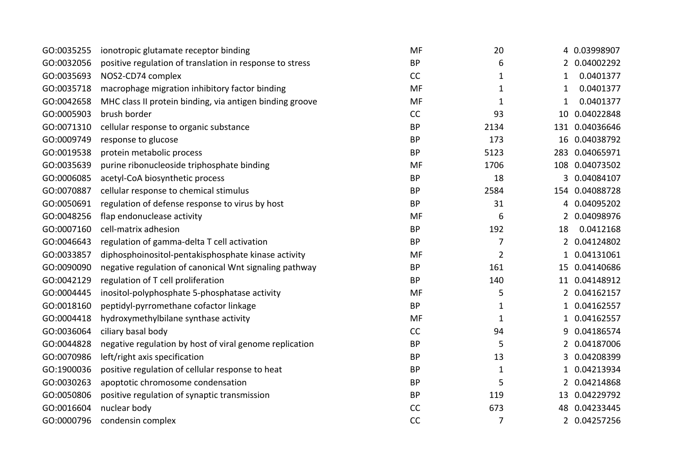| GO:0035255 | ionotropic glutamate receptor binding                    | MF        | 20             |              | 4 0.03998907   |
|------------|----------------------------------------------------------|-----------|----------------|--------------|----------------|
| GO:0032056 | positive regulation of translation in response to stress | <b>BP</b> | 6              |              | 2 0.04002292   |
| GO:0035693 | NOS2-CD74 complex                                        | CC        | 1              | 1            | 0.0401377      |
| GO:0035718 | macrophage migration inhibitory factor binding           | MF        | $\mathbf{1}$   | 1            | 0.0401377      |
| GO:0042658 | MHC class II protein binding, via antigen binding groove | MF        | $\mathbf{1}$   | 1            | 0.0401377      |
| GO:0005903 | brush border                                             | CC        | 93             |              | 10 0.04022848  |
| GO:0071310 | cellular response to organic substance                   | <b>BP</b> | 2134           |              | 131 0.04036646 |
| GO:0009749 | response to glucose                                      | <b>BP</b> | 173            |              | 16 0.04038792  |
| GO:0019538 | protein metabolic process                                | <b>BP</b> | 5123           |              | 283 0.04065971 |
| GO:0035639 | purine ribonucleoside triphosphate binding               | MF        | 1706           |              | 108 0.04073502 |
| GO:0006085 | acetyl-CoA biosynthetic process                          | <b>BP</b> | 18             | 3            | 0.04084107     |
| GO:0070887 | cellular response to chemical stimulus                   | <b>BP</b> | 2584           |              | 154 0.04088728 |
| GO:0050691 | regulation of defense response to virus by host          | <b>BP</b> | 31             | 4            | 0.04095202     |
| GO:0048256 | flap endonuclease activity                               | MF        | 6              |              | 2 0.04098976   |
| GO:0007160 | cell-matrix adhesion                                     | <b>BP</b> | 192            | 18           | 0.0412168      |
| GO:0046643 | regulation of gamma-delta T cell activation              | <b>BP</b> | $\overline{7}$ |              | 2 0.04124802   |
| GO:0033857 | diphosphoinositol-pentakisphosphate kinase activity      | MF        | $\overline{2}$ |              | 1 0.04131061   |
| GO:0090090 | negative regulation of canonical Wnt signaling pathway   | <b>BP</b> | 161            |              | 15 0.04140686  |
| GO:0042129 | regulation of T cell proliferation                       | <b>BP</b> | 140            |              | 11 0.04148912  |
| GO:0004445 | inositol-polyphosphate 5-phosphatase activity            | MF        | 5              |              | 2 0.04162157   |
| GO:0018160 | peptidyl-pyrromethane cofactor linkage                   | <b>BP</b> | 1              | 1            | 0.04162557     |
| GO:0004418 | hydroxymethylbilane synthase activity                    | MF        | $\mathbf{1}$   | $\mathbf{1}$ | 0.04162557     |
| GO:0036064 | ciliary basal body                                       | CC        | 94             | 9            | 0.04186574     |
| GO:0044828 | negative regulation by host of viral genome replication  | <b>BP</b> | 5              | 2            | 0.04187006     |
| GO:0070986 | left/right axis specification                            | <b>BP</b> | 13             | 3            | 0.04208399     |
| GO:1900036 | positive regulation of cellular response to heat         | <b>BP</b> | $\mathbf{1}$   | 1            | 0.04213934     |
| GO:0030263 | apoptotic chromosome condensation                        | <b>BP</b> | 5              | 2            | 0.04214868     |
| GO:0050806 | positive regulation of synaptic transmission             | <b>BP</b> | 119            |              | 13 0.04229792  |
| GO:0016604 | nuclear body                                             | CC        | 673            |              | 48 0.04233445  |
| GO:0000796 | condensin complex                                        | CC        | $\overline{7}$ |              | 2 0.04257256   |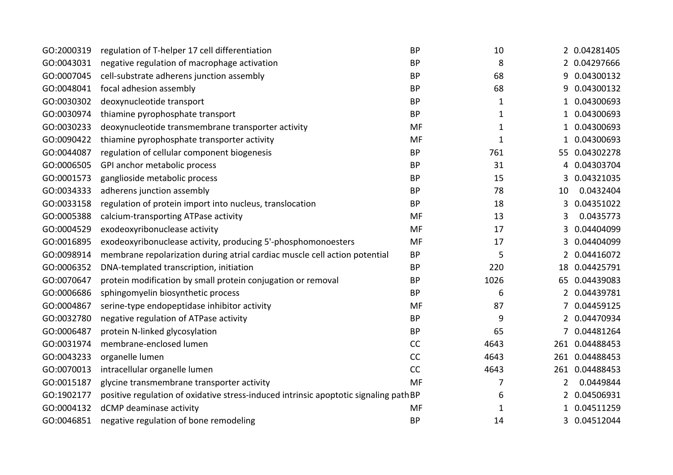| GO:2000319 | regulation of T-helper 17 cell differentiation                                        | <b>BP</b> | 10           |                | 2 0.04281405   |
|------------|---------------------------------------------------------------------------------------|-----------|--------------|----------------|----------------|
| GO:0043031 | negative regulation of macrophage activation                                          | <b>BP</b> | 8            |                | 2 0.04297666   |
| GO:0007045 | cell-substrate adherens junction assembly                                             | <b>BP</b> | 68           | 9              | 0.04300132     |
| GO:0048041 | focal adhesion assembly                                                               | <b>BP</b> | 68           | 9              | 0.04300132     |
| GO:0030302 | deoxynucleotide transport                                                             | <b>BP</b> | $\mathbf{1}$ |                | 0.04300693     |
| GO:0030974 | thiamine pyrophosphate transport                                                      | <b>BP</b> | $\mathbf{1}$ | 1              | 0.04300693     |
| GO:0030233 | deoxynucleotide transmembrane transporter activity                                    | <b>MF</b> | $\mathbf{1}$ |                | 0.04300693     |
| GO:0090422 | thiamine pyrophosphate transporter activity                                           | <b>MF</b> | $\mathbf{1}$ | 1              | 0.04300693     |
| GO:0044087 | regulation of cellular component biogenesis                                           | <b>BP</b> | 761          | 55.            | 0.04302278     |
| GO:0006505 | GPI anchor metabolic process                                                          | <b>BP</b> | 31           | 4              | 0.04303704     |
| GO:0001573 | ganglioside metabolic process                                                         | <b>BP</b> | 15           | 3              | 0.04321035     |
| GO:0034333 | adherens junction assembly                                                            | <b>BP</b> | 78           | 10             | 0.0432404      |
| GO:0033158 | regulation of protein import into nucleus, translocation                              | <b>BP</b> | 18           | 3              | 0.04351022     |
| GO:0005388 | calcium-transporting ATPase activity                                                  | <b>MF</b> | 13           | 3              | 0.0435773      |
| GO:0004529 | exodeoxyribonuclease activity                                                         | MF        | 17           | 3              | 0.04404099     |
| GO:0016895 | exodeoxyribonuclease activity, producing 5'-phosphomonoesters                         | <b>MF</b> | 17           | 3              | 0.04404099     |
| GO:0098914 | membrane repolarization during atrial cardiac muscle cell action potential            | <b>BP</b> | 5            | 2              | 0.04416072     |
| GO:0006352 | DNA-templated transcription, initiation                                               | <b>BP</b> | 220          | 18             | 0.04425791     |
| GO:0070647 | protein modification by small protein conjugation or removal                          | <b>BP</b> | 1026         | 65             | 0.04439083     |
| GO:0006686 | sphingomyelin biosynthetic process                                                    | <b>BP</b> | 6            | $\overline{2}$ | 0.04439781     |
| GO:0004867 | serine-type endopeptidase inhibitor activity                                          | <b>MF</b> | 87           |                | 0.04459125     |
| GO:0032780 | negative regulation of ATPase activity                                                | <b>BP</b> | 9            | $\overline{2}$ | 0.04470934     |
| GO:0006487 | protein N-linked glycosylation                                                        | <b>BP</b> | 65           |                | 0.04481264     |
| GO:0031974 | membrane-enclosed lumen                                                               | CC        | 4643         | 261            | 0.04488453     |
| GO:0043233 | organelle lumen                                                                       | CC        | 4643         |                | 261 0.04488453 |
| GO:0070013 | intracellular organelle lumen                                                         | CC        | 4643         |                | 261 0.04488453 |
| GO:0015187 | glycine transmembrane transporter activity                                            | <b>MF</b> | 7            | 2              | 0.0449844      |
| GO:1902177 | positive regulation of oxidative stress-induced intrinsic apoptotic signaling path BP |           | 6            | 2              | 0.04506931     |
| GO:0004132 | dCMP deaminase activity                                                               | MF        | 1            |                | 0.04511259     |
| GO:0046851 | negative regulation of bone remodeling                                                | <b>BP</b> | 14           | 3              | 0.04512044     |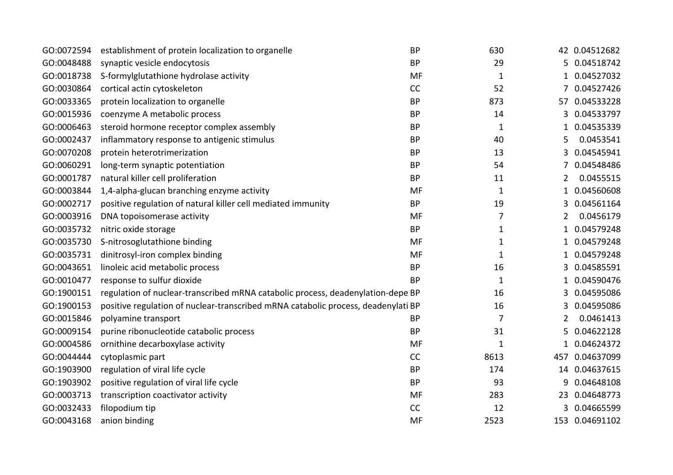| GO:0072594 | establishment of protein localization to organelle                                | <b>BP</b> | 630          |                | 42 0.04512682  |
|------------|-----------------------------------------------------------------------------------|-----------|--------------|----------------|----------------|
| GO:0048488 | synaptic vesicle endocytosis                                                      | <b>BP</b> | 29           | 5.             | 0.04518742     |
| GO:0018738 | S-formylglutathione hydrolase activity                                            | <b>MF</b> | $\mathbf{1}$ |                | 0.04527032     |
| GO:0030864 | cortical actin cytoskeleton                                                       | CC        | 52           |                | 0.04527426     |
| GO:0033365 | protein localization to organelle                                                 | <b>BP</b> | 873          | 57             | 0.04533228     |
| GO:0015936 | coenzyme A metabolic process                                                      | <b>BP</b> | 14           | 3              | 0.04533797     |
| GO:0006463 | steroid hormone receptor complex assembly                                         | <b>BP</b> | $\mathbf{1}$ | 1              | 0.04535339     |
| GO:0002437 | inflammatory response to antigenic stimulus                                       | <b>BP</b> | 40           | 5              | 0.0453541      |
| GO:0070208 | protein heterotrimerization                                                       | <b>BP</b> | 13           | 3              | 0.04545941     |
| GO:0060291 | long-term synaptic potentiation                                                   | <b>BP</b> | 54           |                | 0.04548486     |
| GO:0001787 | natural killer cell proliferation                                                 | <b>BP</b> | 11           | 2              | 0.0455515      |
| GO:0003844 | 1,4-alpha-glucan branching enzyme activity                                        | <b>MF</b> | $\mathbf{1}$ | $\mathbf{1}$   | 0.04560608     |
| GO:0002717 | positive regulation of natural killer cell mediated immunity                      | <b>BP</b> | 19           | 3              | 0.04561164     |
| GO:0003916 | DNA topoisomerase activity                                                        | <b>MF</b> | 7            | $\overline{2}$ | 0.0456179      |
| GO:0035732 | nitric oxide storage                                                              | <b>BP</b> | $\mathbf{1}$ | 1              | 0.04579248     |
| GO:0035730 | S-nitrosoglutathione binding                                                      | <b>MF</b> | $\mathbf{1}$ | 1              | 0.04579248     |
| GO:0035731 | dinitrosyl-iron complex binding                                                   | <b>MF</b> | $\mathbf{1}$ |                | 0.04579248     |
| GO:0043651 | linoleic acid metabolic process                                                   | <b>BP</b> | 16           | 3              | 0.04585591     |
| GO:0010477 | response to sulfur dioxide                                                        | <b>BP</b> | $\mathbf{1}$ |                | 0.04590476     |
| GO:1900151 | regulation of nuclear-transcribed mRNA catabolic process, deadenylation-depe BP   |           | 16           | 3              | 0.04595086     |
| GO:1900153 | positive regulation of nuclear-transcribed mRNA catabolic process, deadenylati BP |           | 16           | 3              | 0.04595086     |
| GO:0015846 | polyamine transport                                                               | <b>BP</b> | 7            | 2              | 0.0461413      |
| GO:0009154 | purine ribonucleotide catabolic process                                           | <b>BP</b> | 31           | 5              | 0.04622128     |
| GO:0004586 | ornithine decarboxylase activity                                                  | <b>MF</b> | $\mathbf{1}$ | $\mathbf{1}$   | 0.04624372     |
| GO:0044444 | cytoplasmic part                                                                  | <b>CC</b> | 8613         | 457            | 0.04637099     |
| GO:1903900 | regulation of viral life cycle                                                    | <b>BP</b> | 174          | 14             | 0.04637615     |
| GO:1903902 | positive regulation of viral life cycle                                           | <b>BP</b> | 93           | 9              | 0.04648108     |
| GO:0003713 | transcription coactivator activity                                                | <b>MF</b> | 283          | 23             | 0.04648773     |
| GO:0032433 | filopodium tip                                                                    | <b>CC</b> | 12           | 3              | 0.04665599     |
| GO:0043168 | anion binding                                                                     | <b>MF</b> | 2523         |                | 153 0.04691102 |